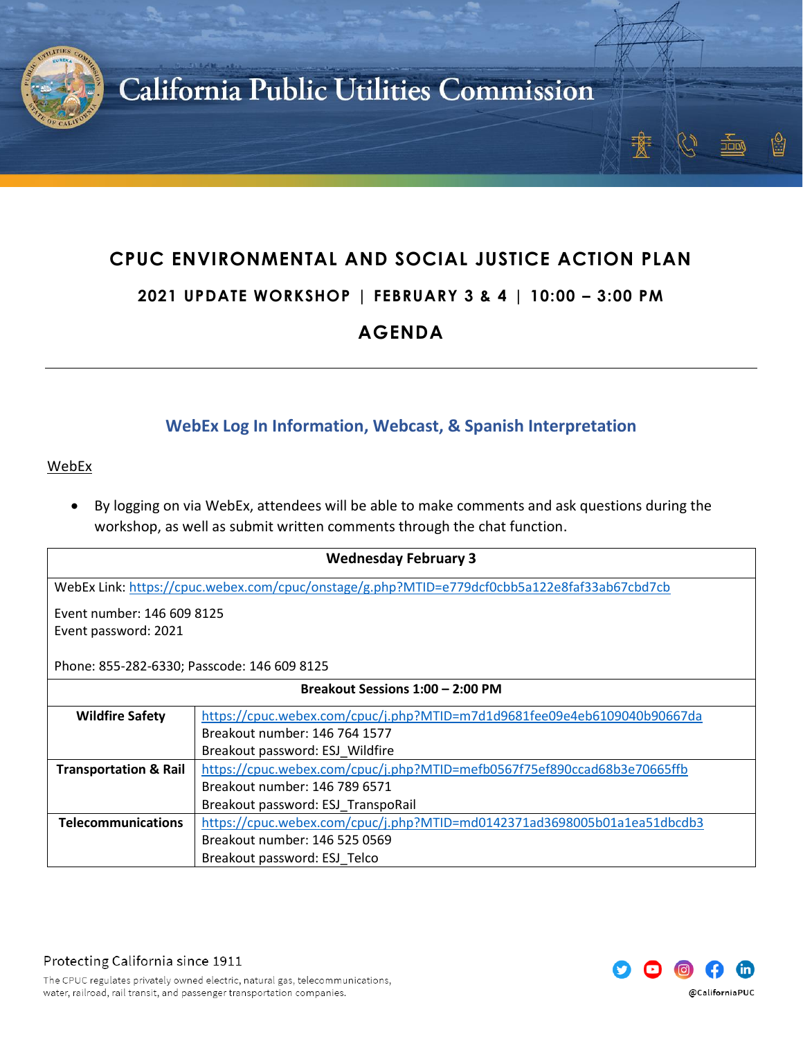

## **CPUC ENVIRONMENTAL AND SOCIAL JUSTICE ACTION PLAN**

#### **2021 UPDATE WORKSHOP | FEBRUARY 3 & 4 | 10:00 – 3:00 PM**

### **AGENDA**

#### **WebEx Log In Information, Webcast, & Spanish Interpretation**

#### WebEx

• By logging on via WebEx, attendees will be able to make comments and ask questions during the workshop, as well as submit written comments through the chat function.

| <b>Wednesday February 3</b>                                                                  |                                                                          |  |
|----------------------------------------------------------------------------------------------|--------------------------------------------------------------------------|--|
| WebEx Link: https://cpuc.webex.com/cpuc/onstage/g.php?MTID=e779dcf0cbb5a122e8faf33ab67cbd7cb |                                                                          |  |
| Event number: 146 609 8125                                                                   |                                                                          |  |
| Event password: 2021                                                                         |                                                                          |  |
| Phone: 855-282-6330; Passcode: 146 609 8125                                                  |                                                                          |  |
| Breakout Sessions 1:00 - 2:00 PM                                                             |                                                                          |  |
| <b>Wildfire Safety</b>                                                                       | https://cpuc.webex.com/cpuc/j.php?MTID=m7d1d9681fee09e4eb6109040b90667da |  |
|                                                                                              | Breakout number: 146 764 1577                                            |  |
|                                                                                              | Breakout password: ESJ_Wildfire                                          |  |
| <b>Transportation &amp; Rail</b>                                                             | https://cpuc.webex.com/cpuc/j.php?MTID=mefb0567f75ef890ccad68b3e70665ffb |  |
|                                                                                              | Breakout number: 146 789 6571                                            |  |
|                                                                                              | Breakout password: ESJ TranspoRail                                       |  |
| <b>Telecommunications</b>                                                                    | https://cpuc.webex.com/cpuc/j.php?MTID=md0142371ad3698005b01a1ea51dbcdb3 |  |
|                                                                                              | Breakout number: 146 525 0569                                            |  |
|                                                                                              | Breakout password: ESJ Telco                                             |  |



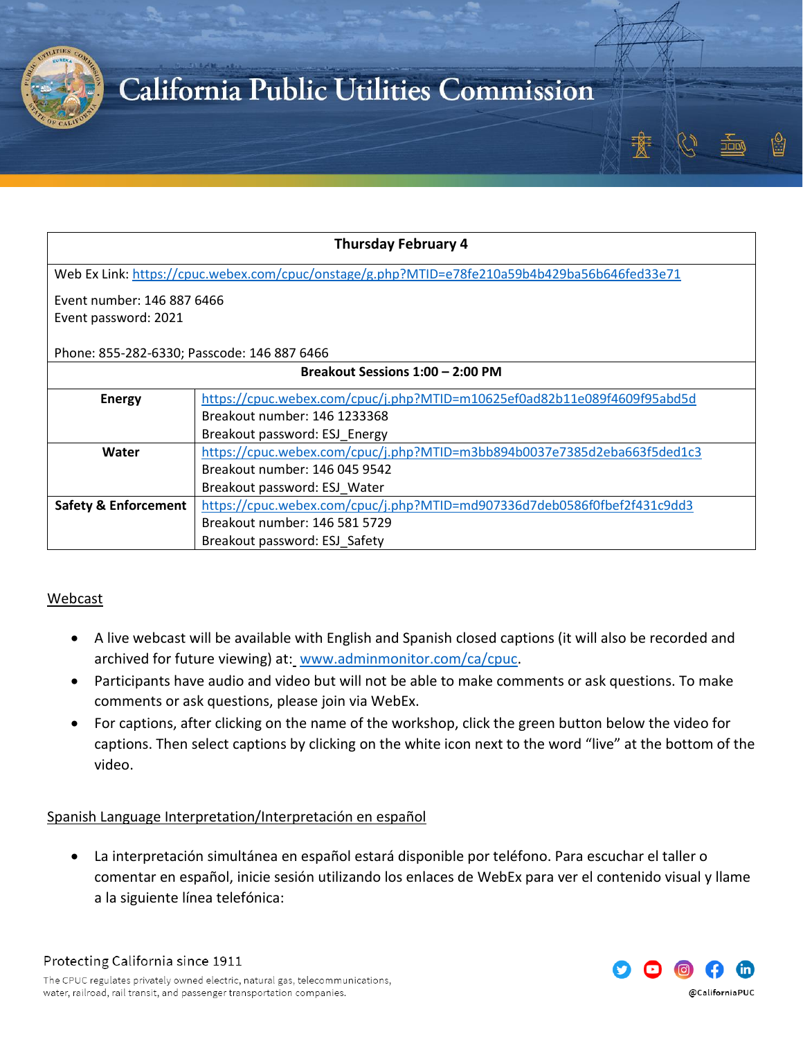

| <b>Thursday February 4</b>                                                                    |                                                                          |  |
|-----------------------------------------------------------------------------------------------|--------------------------------------------------------------------------|--|
| Web Ex Link: https://cpuc.webex.com/cpuc/onstage/g.php?MTID=e78fe210a59b4b429ba56b646fed33e71 |                                                                          |  |
| Event number: 146 887 6466                                                                    |                                                                          |  |
| Event password: 2021                                                                          |                                                                          |  |
|                                                                                               |                                                                          |  |
| Phone: 855-282-6330; Passcode: 146 887 6466                                                   |                                                                          |  |
| Breakout Sessions 1:00 - 2:00 PM                                                              |                                                                          |  |
| <b>Energy</b>                                                                                 | https://cpuc.webex.com/cpuc/j.php?MTID=m10625ef0ad82b11e089f4609f95abd5d |  |
|                                                                                               | Breakout number: 146 1233368                                             |  |
|                                                                                               | Breakout password: ESJ Energy                                            |  |
| Water                                                                                         | https://cpuc.webex.com/cpuc/j.php?MTID=m3bb894b0037e7385d2eba663f5ded1c3 |  |
|                                                                                               | Breakout number: 146 045 9542                                            |  |
|                                                                                               | Breakout password: ESJ Water                                             |  |
| <b>Safety &amp; Enforcement</b>                                                               | https://cpuc.webex.com/cpuc/j.php?MTID=md907336d7deb0586f0fbef2f431c9dd3 |  |
|                                                                                               | Breakout number: 146 581 5729                                            |  |
|                                                                                               | Breakout password: ESJ Safety                                            |  |

#### Webcast

- A live webcast will be available with English and Spanish closed captions (it will also be recorded and archived for future viewing) at: [www.adminmonitor.com/ca/cpuc.](http://www.adminmonitor.com/ca/cpuc)
- Participants have audio and video but will not be able to make comments or ask questions. To make comments or ask questions, please join via WebEx.
- For captions, after clicking on the name of the workshop, click the green button below the video for captions. Then select captions by clicking on the white icon next to the word "live" at the bottom of the video.

Spanish Language Interpretation/Interpretación en español

• La interpretación simultánea en español estará disponible por teléfono. Para escuchar el taller o comentar en español, inicie sesión utilizando los enlaces de WebEx para ver el contenido visual y llame a la siguiente línea telefónica:

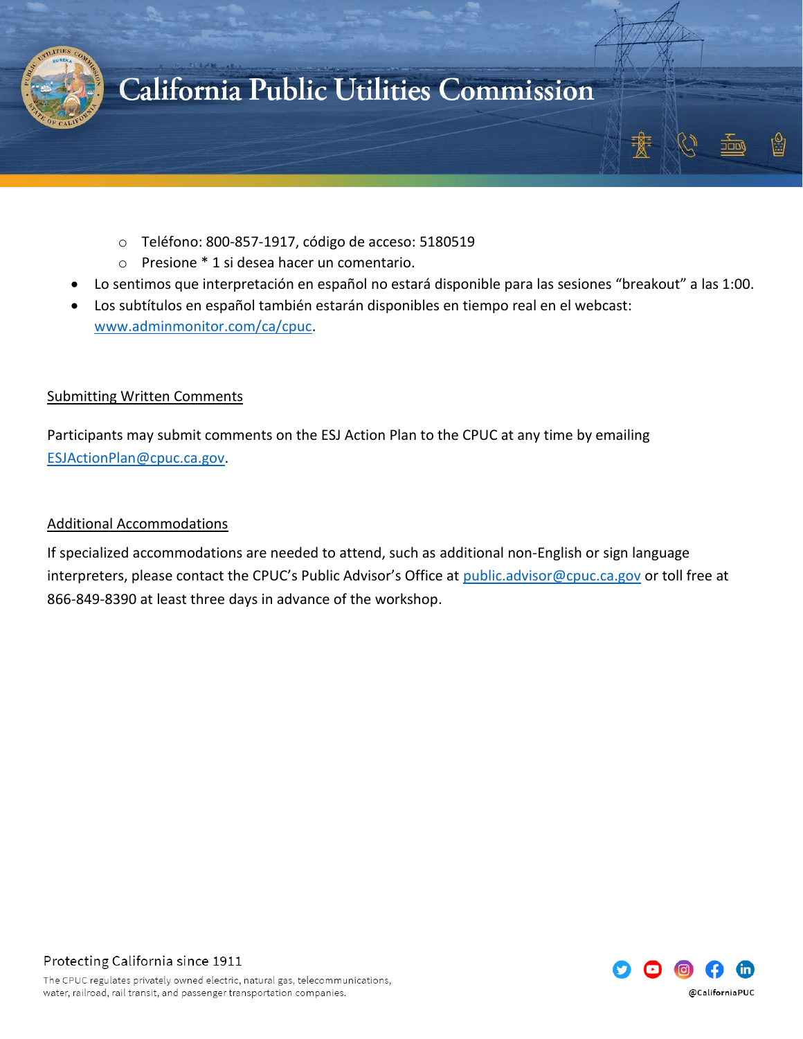

- o Teléfono: 800-857-1917, código de acceso: 5180519
- o Presione \* 1 si desea hacer un comentario.
- Lo sentimos que interpretación en español no estará disponible para las sesiones "breakout" a las 1:00.
- Los subtítulos en español también estarán disponibles en tiempo real en el webcast: [www.adminmonitor.com/ca/cpuc.](http://www.adminmonitor.com/ca/cpuc)

#### Submitting Written Comments

Participants may submit comments on the ESJ Action Plan to the CPUC at any time by emailing [ESJActionPlan@cpuc.ca.gov.](mailto:ESJActionPlan@cpuc.ca.gov)

#### Additional Accommodations

If specialized accommodations are needed to attend, such as additional non-English or sign language interpreters, please contact the CPUC's Public Advisor's Office at [public.advisor@cpuc.ca.gov](mailto:public.advisor@cpuc.ca.gov) or toll free at 866-849-8390 at least three days in advance of the workshop.

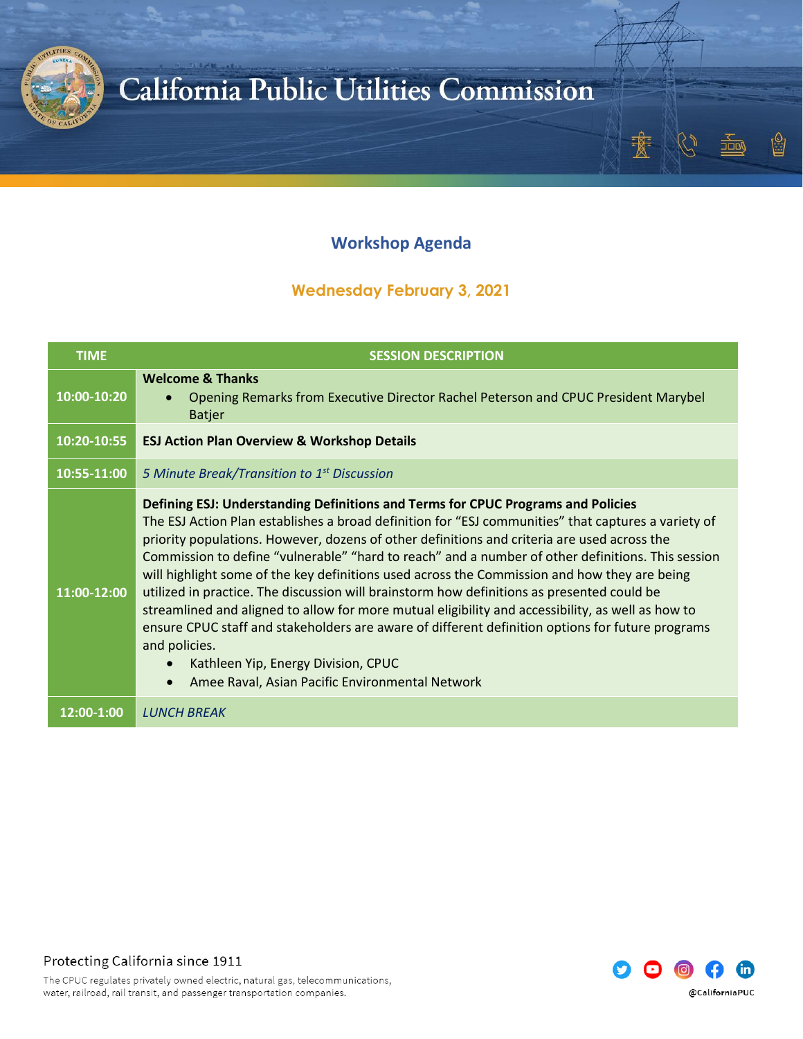

### **Workshop Agenda**

#### **Wednesday February 3, 2021**

| <b>TIME</b> | <b>SESSION DESCRIPTION</b>                                                                                                                                                                                                                                                                                                                                                                                                                                                                                                                                                                                                                                                                                                                                                                                                                                                                                                 |
|-------------|----------------------------------------------------------------------------------------------------------------------------------------------------------------------------------------------------------------------------------------------------------------------------------------------------------------------------------------------------------------------------------------------------------------------------------------------------------------------------------------------------------------------------------------------------------------------------------------------------------------------------------------------------------------------------------------------------------------------------------------------------------------------------------------------------------------------------------------------------------------------------------------------------------------------------|
| 10:00-10:20 | <b>Welcome &amp; Thanks</b><br>Opening Remarks from Executive Director Rachel Peterson and CPUC President Marybel<br><b>Batjer</b>                                                                                                                                                                                                                                                                                                                                                                                                                                                                                                                                                                                                                                                                                                                                                                                         |
| 10:20-10:55 | <b>ESJ Action Plan Overview &amp; Workshop Details</b>                                                                                                                                                                                                                                                                                                                                                                                                                                                                                                                                                                                                                                                                                                                                                                                                                                                                     |
| 10:55-11:00 | 5 Minute Break/Transition to 1 <sup>st</sup> Discussion                                                                                                                                                                                                                                                                                                                                                                                                                                                                                                                                                                                                                                                                                                                                                                                                                                                                    |
| 11:00-12:00 | Defining ESJ: Understanding Definitions and Terms for CPUC Programs and Policies<br>The ESJ Action Plan establishes a broad definition for "ESJ communities" that captures a variety of<br>priority populations. However, dozens of other definitions and criteria are used across the<br>Commission to define "vulnerable" "hard to reach" and a number of other definitions. This session<br>will highlight some of the key definitions used across the Commission and how they are being<br>utilized in practice. The discussion will brainstorm how definitions as presented could be<br>streamlined and aligned to allow for more mutual eligibility and accessibility, as well as how to<br>ensure CPUC staff and stakeholders are aware of different definition options for future programs<br>and policies.<br>Kathleen Yip, Energy Division, CPUC<br>Amee Raval, Asian Pacific Environmental Network<br>$\bullet$ |
| 12:00-1:00  | <b>LUNCH BREAK</b>                                                                                                                                                                                                                                                                                                                                                                                                                                                                                                                                                                                                                                                                                                                                                                                                                                                                                                         |

Protecting California since 1911



 $\overset{\circ}{\Box}$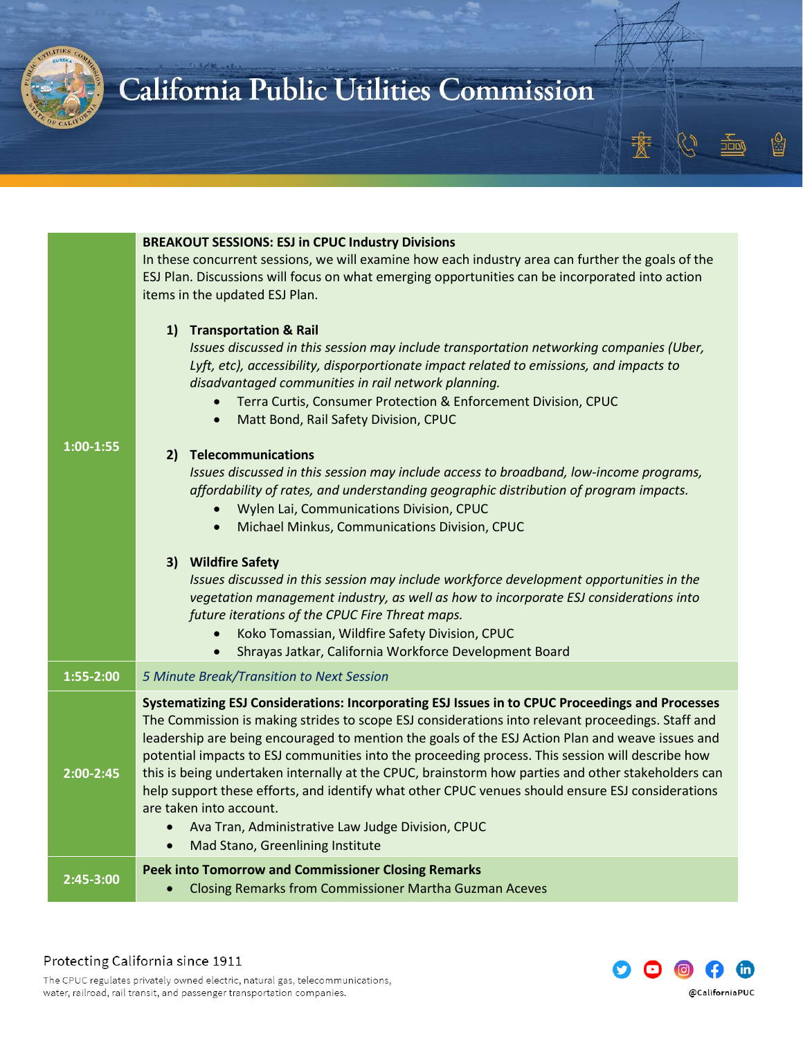

|             | <b>BREAKOUT SESSIONS: ESJ in CPUC Industry Divisions</b><br>In these concurrent sessions, we will examine how each industry area can further the goals of the<br>ESJ Plan. Discussions will focus on what emerging opportunities can be incorporated into action<br>items in the updated ESJ Plan.<br>1) Transportation & Rail<br>Issues discussed in this session may include transportation networking companies (Uber,<br>Lyft, etc), accessibility, disporportionate impact related to emissions, and impacts to<br>disadvantaged communities in rail network planning.<br>Terra Curtis, Consumer Protection & Enforcement Division, CPUC<br>$\bullet$                                                                                              |
|-------------|---------------------------------------------------------------------------------------------------------------------------------------------------------------------------------------------------------------------------------------------------------------------------------------------------------------------------------------------------------------------------------------------------------------------------------------------------------------------------------------------------------------------------------------------------------------------------------------------------------------------------------------------------------------------------------------------------------------------------------------------------------|
| $1:00-1:55$ | Matt Bond, Rail Safety Division, CPUC<br>$\bullet$<br>2) Telecommunications<br>Issues discussed in this session may include access to broadband, low-income programs,<br>affordability of rates, and understanding geographic distribution of program impacts.<br>Wylen Lai, Communications Division, CPUC<br>Michael Minkus, Communications Division, CPUC<br>$\bullet$<br>3) Wildfire Safety<br>Issues discussed in this session may include workforce development opportunities in the<br>vegetation management industry, as well as how to incorporate ESJ considerations into<br>future iterations of the CPUC Fire Threat maps.<br>Koko Tomassian, Wildfire Safety Division, CPUC                                                                 |
| 1:55-2:00   | Shrayas Jatkar, California Workforce Development Board<br>$\bullet$<br>5 Minute Break/Transition to Next Session                                                                                                                                                                                                                                                                                                                                                                                                                                                                                                                                                                                                                                        |
| $2:00-2:45$ | Systematizing ESJ Considerations: Incorporating ESJ Issues in to CPUC Proceedings and Processes<br>The Commission is making strides to scope ESJ considerations into relevant proceedings. Staff and<br>leadership are being encouraged to mention the goals of the ESJ Action Plan and weave issues and<br>potential impacts to ESJ communities into the proceeding process. This session will describe how<br>this is being undertaken internally at the CPUC, brainstorm how parties and other stakeholders can<br>help support these efforts, and identify what other CPUC venues should ensure ESJ considerations<br>are taken into account.<br>Ava Tran, Administrative Law Judge Division, CPUC<br>Mad Stano, Greenlining Institute<br>$\bullet$ |
| 2:45-3:00   | <b>Peek into Tomorrow and Commissioner Closing Remarks</b><br><b>Closing Remarks from Commissioner Martha Guzman Aceves</b><br>$\bullet$                                                                                                                                                                                                                                                                                                                                                                                                                                                                                                                                                                                                                |





ŷ

<sup>תחבוב</sup>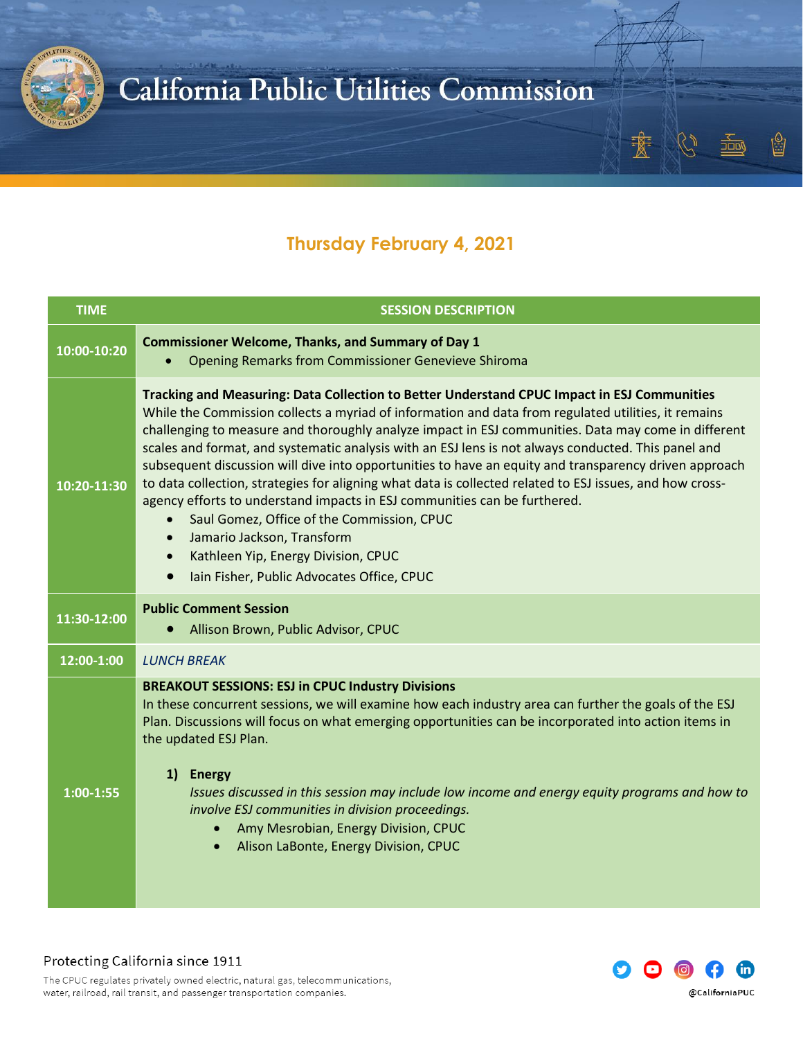

### **Thursday February 4, 2021**

| <b>TIME</b> | <b>SESSION DESCRIPTION</b>                                                                                                                                                                                                                                                                                                                                                                                                                                                                                                                                                                                                                                                                                                                                                                                                                                                                                                 |
|-------------|----------------------------------------------------------------------------------------------------------------------------------------------------------------------------------------------------------------------------------------------------------------------------------------------------------------------------------------------------------------------------------------------------------------------------------------------------------------------------------------------------------------------------------------------------------------------------------------------------------------------------------------------------------------------------------------------------------------------------------------------------------------------------------------------------------------------------------------------------------------------------------------------------------------------------|
| 10:00-10:20 | <b>Commissioner Welcome, Thanks, and Summary of Day 1</b><br><b>Opening Remarks from Commissioner Genevieve Shiroma</b>                                                                                                                                                                                                                                                                                                                                                                                                                                                                                                                                                                                                                                                                                                                                                                                                    |
| 10:20-11:30 | Tracking and Measuring: Data Collection to Better Understand CPUC Impact in ESJ Communities<br>While the Commission collects a myriad of information and data from regulated utilities, it remains<br>challenging to measure and thoroughly analyze impact in ESJ communities. Data may come in different<br>scales and format, and systematic analysis with an ESJ lens is not always conducted. This panel and<br>subsequent discussion will dive into opportunities to have an equity and transparency driven approach<br>to data collection, strategies for aligning what data is collected related to ESJ issues, and how cross-<br>agency efforts to understand impacts in ESJ communities can be furthered.<br>Saul Gomez, Office of the Commission, CPUC<br>Jamario Jackson, Transform<br>$\bullet$<br>Kathleen Yip, Energy Division, CPUC<br>$\bullet$<br>Iain Fisher, Public Advocates Office, CPUC<br>$\bullet$ |
| 11:30-12:00 | <b>Public Comment Session</b><br>Allison Brown, Public Advisor, CPUC<br>$\bullet$                                                                                                                                                                                                                                                                                                                                                                                                                                                                                                                                                                                                                                                                                                                                                                                                                                          |
| 12:00-1:00  | <b>LUNCH BREAK</b>                                                                                                                                                                                                                                                                                                                                                                                                                                                                                                                                                                                                                                                                                                                                                                                                                                                                                                         |
| $1:00-1:55$ | <b>BREAKOUT SESSIONS: ESJ in CPUC Industry Divisions</b><br>In these concurrent sessions, we will examine how each industry area can further the goals of the ESJ<br>Plan. Discussions will focus on what emerging opportunities can be incorporated into action items in<br>the updated ESJ Plan.<br>1) Energy<br>Issues discussed in this session may include low income and energy equity programs and how to<br>involve ESJ communities in division proceedings.<br>Amy Mesrobian, Energy Division, CPUC<br>$\bullet$<br>Alison LaBonte, Energy Division, CPUC                                                                                                                                                                                                                                                                                                                                                         |



ŷ

JOD (